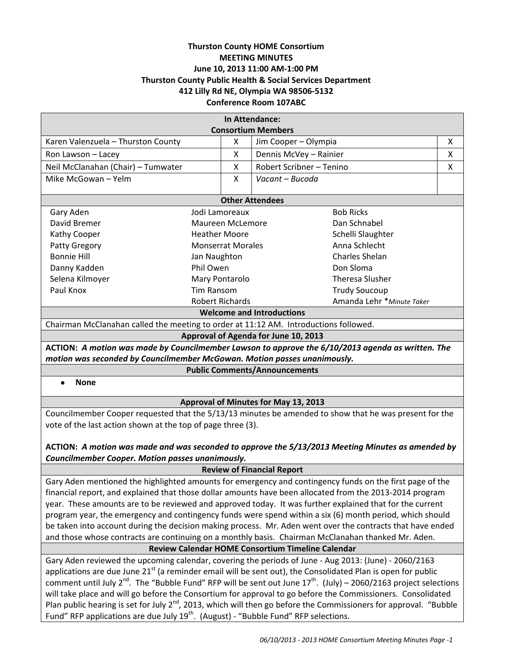# **Thurston County HOME Consortium MEETING MINUTES June 10, 2013 11:00 AM-1:00 PM Thurston County Public Health & Social Services Department 412 Lilly Rd NE, Olympia WA 98506-5132 Conference Room 107ABC**

| In Attendance:                                                                                             |                                      |                           |                                                   |   |  |  |
|------------------------------------------------------------------------------------------------------------|--------------------------------------|---------------------------|---------------------------------------------------|---|--|--|
| <b>Consortium Members</b><br>Karen Valenzuela - Thurston County<br>Jim Cooper - Olympia<br>X<br>X          |                                      |                           |                                                   |   |  |  |
| Ron Lawson - Lacey                                                                                         | X                                    |                           | Dennis McVey - Rainier                            | X |  |  |
| Neil McClanahan (Chair) - Tumwater                                                                         | X                                    |                           | Robert Scribner - Tenino                          | X |  |  |
|                                                                                                            |                                      |                           |                                                   |   |  |  |
| Mike McGowan - Yelm                                                                                        | X                                    | Vacant - Bucoda           |                                                   |   |  |  |
| <b>Other Attendees</b>                                                                                     |                                      |                           |                                                   |   |  |  |
| Gary Aden                                                                                                  | <b>Bob Ricks</b><br>Jodi Lamoreaux   |                           |                                                   |   |  |  |
| David Bremer                                                                                               | Maureen McLemore                     |                           | Dan Schnabel                                      |   |  |  |
| Kathy Cooper                                                                                               | <b>Heather Moore</b>                 |                           | Schelli Slaughter                                 |   |  |  |
| Patty Gregory                                                                                              | <b>Monserrat Morales</b>             |                           | Anna Schlecht                                     |   |  |  |
| <b>Bonnie Hill</b>                                                                                         | Jan Naughton                         |                           | Charles Shelan                                    |   |  |  |
| Danny Kadden                                                                                               | Phil Owen                            |                           | Don Sloma                                         |   |  |  |
| Selena Kilmoyer                                                                                            | Mary Pontarolo                       |                           | <b>Theresa Slusher</b>                            |   |  |  |
| Paul Knox                                                                                                  | <b>Tim Ransom</b>                    |                           | <b>Trudy Soucoup</b>                              |   |  |  |
|                                                                                                            | <b>Robert Richards</b>               | Amanda Lehr *Minute Taker |                                                   |   |  |  |
| <b>Welcome and Introductions</b>                                                                           |                                      |                           |                                                   |   |  |  |
| Chairman McClanahan called the meeting to order at 11:12 AM. Introductions followed.                       |                                      |                           |                                                   |   |  |  |
|                                                                                                            | Approval of Agenda for June 10, 2013 |                           |                                                   |   |  |  |
| ACTION: A motion was made by Councilmember Lawson to approve the 6/10/2013 agenda as written. The          |                                      |                           |                                                   |   |  |  |
| motion was seconded by Councilmember McGowan. Motion passes unanimously.                                   |                                      |                           |                                                   |   |  |  |
| <b>Public Comments/Announcements</b>                                                                       |                                      |                           |                                                   |   |  |  |
| <b>None</b>                                                                                                |                                      |                           |                                                   |   |  |  |
| Approval of Minutes for May 13, 2013                                                                       |                                      |                           |                                                   |   |  |  |
| Councilmember Cooper requested that the 5/13/13 minutes be amended to show that he was present for the     |                                      |                           |                                                   |   |  |  |
| vote of the last action shown at the top of page three (3).                                                |                                      |                           |                                                   |   |  |  |
|                                                                                                            |                                      |                           |                                                   |   |  |  |
| ACTION: A motion was made and was seconded to approve the 5/13/2013 Meeting Minutes as amended by          |                                      |                           |                                                   |   |  |  |
| Councilmember Cooper. Motion passes unanimously.                                                           |                                      |                           |                                                   |   |  |  |
| <b>Review of Financial Report</b>                                                                          |                                      |                           |                                                   |   |  |  |
| Gary Aden mentioned the highlighted amounts for emergency and contingency funds on the first page of the   |                                      |                           |                                                   |   |  |  |
| financial report, and explained that those dollar amounts have been allocated from the 2013-2014 program   |                                      |                           |                                                   |   |  |  |
| year. These amounts are to be reviewed and approved today. It was further explained that for the current   |                                      |                           |                                                   |   |  |  |
| program year, the emergency and contingency funds were spend within a six (6) month period, which should   |                                      |                           |                                                   |   |  |  |
| be taken into account during the decision making process. Mr. Aden went over the contracts that have ended |                                      |                           |                                                   |   |  |  |
| and those whose contracts are continuing on a monthly basis. Chairman McClanahan thanked Mr. Aden.         |                                      |                           |                                                   |   |  |  |
|                                                                                                            |                                      |                           | Review Calendar HOME Consortium Timeline Calendar |   |  |  |
| Gary Aden reviewed the upcoming calendar, covering the periods of June - Aug 2013: (June) - 2060/2163      |                                      |                           |                                                   |   |  |  |

applications are due June  $21<sup>st</sup>$  (a reminder email will be sent out), the Consolidated Plan is open for public comment until July 2<sup>nd</sup>. The "Bubble Fund" RFP will be sent out June 17<sup>th</sup>. (July) – 2060/2163 project selections will take place and will go before the Consortium for approval to go before the Commissioners. Consolidated Plan public hearing is set for July  $2^{nd}$ , 2013, which will then go before the Commissioners for approval. "Bubble Fund" RFP applications are due July  $19^{th}$ . (August) - "Bubble Fund" RFP selections.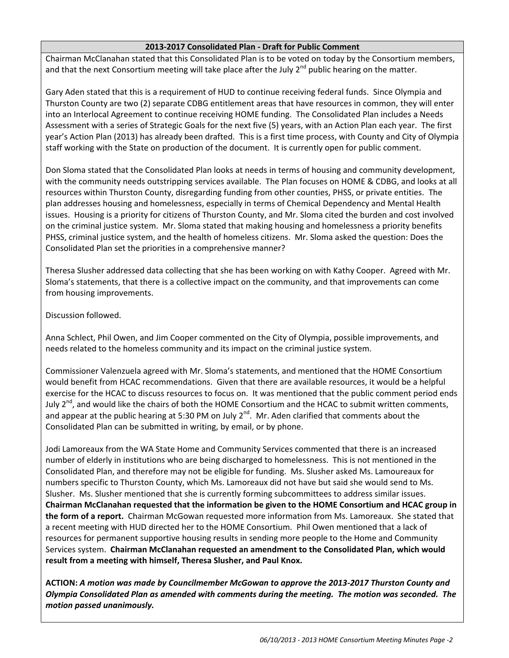# **2013-2017 Consolidated Plan - Draft for Public Comment**

Chairman McClanahan stated that this Consolidated Plan is to be voted on today by the Consortium members, and that the next Consortium meeting will take place after the July  $2^{nd}$  public hearing on the matter.

Gary Aden stated that this is a requirement of HUD to continue receiving federal funds. Since Olympia and Thurston County are two (2) separate CDBG entitlement areas that have resources in common, they will enter into an Interlocal Agreement to continue receiving HOME funding. The Consolidated Plan includes a Needs Assessment with a series of Strategic Goals for the next five (5) years, with an Action Plan each year. The first year's Action Plan (2013) has already been drafted. This is a first time process, with County and City of Olympia staff working with the State on production of the document. It is currently open for public comment.

Don Sloma stated that the Consolidated Plan looks at needs in terms of housing and community development, with the community needs outstripping services available. The Plan focuses on HOME & CDBG, and looks at all resources within Thurston County, disregarding funding from other counties, PHSS, or private entities. The plan addresses housing and homelessness, especially in terms of Chemical Dependency and Mental Health issues. Housing is a priority for citizens of Thurston County, and Mr. Sloma cited the burden and cost involved on the criminal justice system. Mr. Sloma stated that making housing and homelessness a priority benefits PHSS, criminal justice system, and the health of homeless citizens. Mr. Sloma asked the question: Does the Consolidated Plan set the priorities in a comprehensive manner?

Theresa Slusher addressed data collecting that she has been working on with Kathy Cooper. Agreed with Mr. Sloma's statements, that there is a collective impact on the community, and that improvements can come from housing improvements.

Discussion followed.

Anna Schlect, Phil Owen, and Jim Cooper commented on the City of Olympia, possible improvements, and needs related to the homeless community and its impact on the criminal justice system.

Commissioner Valenzuela agreed with Mr. Sloma's statements, and mentioned that the HOME Consortium would benefit from HCAC recommendations. Given that there are available resources, it would be a helpful exercise for the HCAC to discuss resources to focus on. It was mentioned that the public comment period ends July 2<sup>nd</sup>, and would like the chairs of both the HOME Consortium and the HCAC to submit written comments, and appear at the public hearing at 5:30 PM on July 2<sup>nd</sup>. Mr. Aden clarified that comments about the Consolidated Plan can be submitted in writing, by email, or by phone.

Jodi Lamoreaux from the WA State Home and Community Services commented that there is an increased number of elderly in institutions who are being discharged to homelessness. This is not mentioned in the Consolidated Plan, and therefore may not be eligible for funding. Ms. Slusher asked Ms. Lamoureaux for numbers specific to Thurston County, which Ms. Lamoreaux did not have but said she would send to Ms. Slusher. Ms. Slusher mentioned that she is currently forming subcommittees to address similar issues. **Chairman McClanahan requested that the information be given to the HOME Consortium and HCAC group in the form of a report.** Chairman McGowan requested more information from Ms. Lamoreaux. She stated that a recent meeting with HUD directed her to the HOME Consortium. Phil Owen mentioned that a lack of resources for permanent supportive housing results in sending more people to the Home and Community Services system. **Chairman McClanahan requested an amendment to the Consolidated Plan, which would result from a meeting with himself, Theresa Slusher, and Paul Knox.**

**ACTION:** *A motion was made by Councilmember McGowan to approve the 2013-2017 Thurston County and Olympia Consolidated Plan as amended with comments during the meeting. The motion was seconded. The motion passed unanimously.*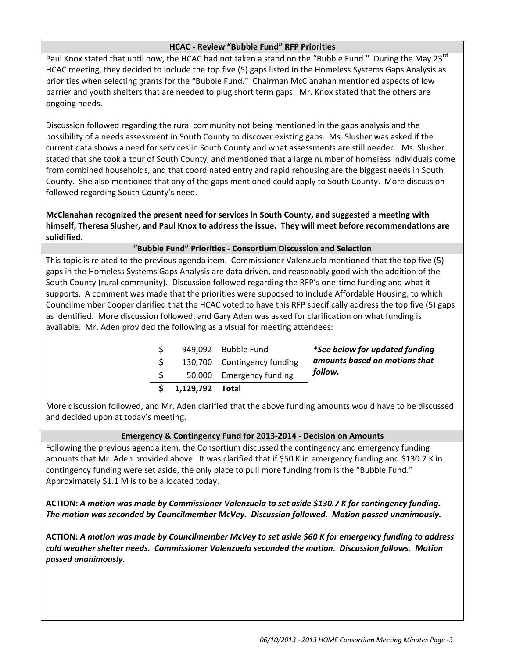# **HCAC - Review "Bubble Fund" RFP Priorities**

Paul Knox stated that until now, the HCAC had not taken a stand on the "Bubble Fund." During the May 23<sup>rd</sup> HCAC meeting, they decided to include the top five (5) gaps listed in the Homeless Systems Gaps Analysis as priorities when selecting grants for the "Bubble Fund." Chairman McClanahan mentioned aspects of low barrier and youth shelters that are needed to plug short term gaps. Mr. Knox stated that the others are ongoing needs.

Discussion followed regarding the rural community not being mentioned in the gaps analysis and the possibility of a needs assessment in South County to discover existing gaps. Ms. Slusher was asked if the current data shows a need for services in South County and what assessments are still needed. Ms. Slusher stated that she took a tour of South County, and mentioned that a large number of homeless individuals come from combined households, and that coordinated entry and rapid rehousing are the biggest needs in South County. She also mentioned that any of the gaps mentioned could apply to South County. More discussion followed regarding South County's need.

**McClanahan recognized the present need for services in South County, and suggested a meeting with himself, Theresa Slusher, and Paul Knox to address the issue. They will meet before recommendations are solidified.**

# **"Bubble Fund" Priorities - Consortium Discussion and Selection**

This topic is related to the previous agenda item. Commissioner Valenzuela mentioned that the top five (5) gaps in the Homeless Systems Gaps Analysis are data driven, and reasonably good with the addition of the South County (rural community). Discussion followed regarding the RFP's one-time funding and what it supports. A comment was made that the priorities were supposed to include Affordable Housing, to which Councilmember Cooper clarified that the HCAC voted to have this RFP specifically address the top five (5) gaps as identified. More discussion followed, and Gary Aden was asked for clarification on what funding is available. Mr. Aden provided the following as a visual for meeting attendees:

|                    | 949,092 Bubble Fund         | *See below for updated funding |
|--------------------|-----------------------------|--------------------------------|
|                    | 130,700 Contingency funding | amounts based on motions that  |
|                    | 50,000 Emergency funding    | follow.                        |
| \$ 1,129,792 Total |                             |                                |

More discussion followed, and Mr. Aden clarified that the above funding amounts would have to be discussed and decided upon at today's meeting.

# **Emergency & Contingency Fund for 2013-2014 - Decision on Amounts**

Following the previous agenda item, the Consortium discussed the contingency and emergency funding amounts that Mr. Aden provided above. It was clarified that if \$50 K in emergency funding and \$130.7 K in contingency funding were set aside, the only place to pull more funding from is the "Bubble Fund." Approximately \$1.1 M is to be allocated today.

**ACTION:** *A motion was made by Commissioner Valenzuela to set aside \$130.7 K for contingency funding. The motion was seconded by Councilmember McVey. Discussion followed. Motion passed unanimously.*

**ACTION:** *A motion was made by Councilmember McVey to set aside \$60 K for emergency funding to address cold weather shelter needs. Commissioner Valenzuela seconded the motion. Discussion follows. Motion passed unanimously.*